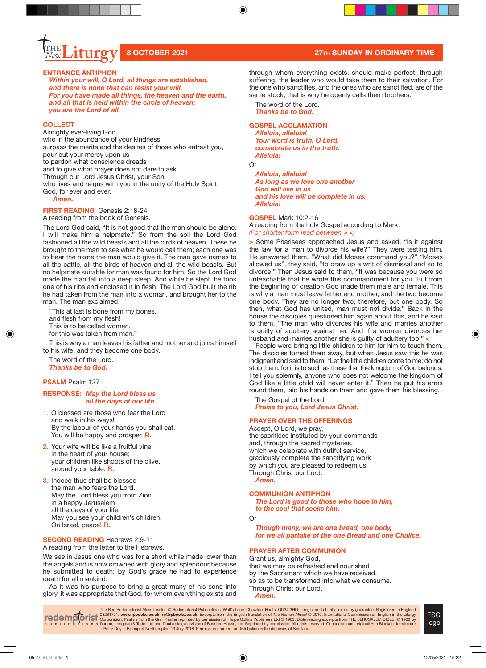## **LITURY 3 OCTOBER 2021 27<sup>TH</sup> SUNDAY IN ORDINARY TIME**

#### **ENTRANCE ANTIPHON**

*Within your will, O Lord, all things are established, and there is none that can resist your will. For you have made all things, the heaven and the earth, and all that is held within the circle of heaven; you are the Lord of all.* 

#### **COLLECT**

*New*

Almighty ever-living God, who in the abundance of your kindness surpass the merits and the desires of those who entreat you, pour out your mercy upon us to pardon what conscience dreads and to give what prayer does not dare to ask. Through our Lord Jesus Christ, your Son, who lives and reigns with you in the unity of the Holy Spirit, God, for ever and ever.

 *Amen.*

#### **FIRST READING** Genesis 2:18-24

A reading from the book of Genesis.

The Lord God said, "It is not good that the man should be alone. I will make him a helpmate." So from the soil the Lord God fashioned all the wild beasts and all the birds of heaven. These he brought to the man to see what he would call them; each one was to bear the name the man would give it. The man gave names to all the cattle, all the birds of heaven and all the wild beasts. But no helpmate suitable for man was found for him. So the Lord God made the man fall into a deep sleep. And while he slept, he took one of his ribs and enclosed it in flesh. The Lord God built the rib he had taken from the man into a woman, and brought her to the man. The man exclaimed:

"This at last is bone from my bones, and flesh from my flesh! This is to be called woman, for this was taken from man."

This is why a man leaves his father and mother and joins himself to his wife, and they become one body.

The word of the Lord. *Thanks be to God.*

#### **PSALM** Psalm 127

#### **RESPONSE:** *May the Lord bless us all the days of our life.*

- 1. O blessed are those who fear the Lord and walk in his ways! By the labour of your hands you shall eat. You will be happy and prosper. **R.**
- 2. Your wife will be like a fruitful vine in the heart of your house; your children like shoots of the olive, around your table. **R.**
- 3. Indeed thus shall be blessed the man who fears the Lord. May the Lord bless you from Zion in a happy Jerusalem all the days of your life! May you see your children's children. On Israel, peace! **R.**

#### **SECOND READING Hebrews 2:9-11** A reading from the letter to the Hebrews.

We see in Jesus one who was for a short while made lower than the angels and is now crowned with glory and splendour because he submitted to death; by God's grace he had to experience death for all mankind.

As it was his purpose to bring a great many of his sons into glory, it was appropriate that God, for whom everything exists and through whom everything exists, should make perfect, through suffering, the leader who would take them to their salvation. For the one who sanctifies, and the ones who are sanctified, are of the same stock; that is why he openly calls them brothers.

The word of the Lord. *Thanks be to God.*

### **GOSPEL ACCLAMATION**

*Alleluia, alleluia! Your word is truth, O Lord, consecrate us in the truth. Alleluia!* 

Or

*Alleluia, alleluia! As long as we love one another God will live in us and his love will be complete in us. Alleluia!* 

#### **GOSPEL** Mark 10:2-16

A reading from the holy Gospel according to Mark. *(For shorter form read between > <)*

**>** Some Pharisees approached Jesus and asked, "Is it against the law for a man to divorce his wife?" They were testing him. He answered them, "What did Moses command you?" "Moses allowed us", they said, "to draw up a writ of dismissal and so to divorce." Then Jesus said to them, "It was because you were so unteachable that he wrote this commandment for you. But from the beginning of creation God made them male and female. This is why a man must leave father and mother, and the two become one body. They are no longer two, therefore, but one body. So then, what God has united, man must not divide." Back in the house the disciples questioned him again about this, and he said to them, "The man who divorces his wife and marries another is guilty of adultery against her. And if a woman divorces her husband and marries another she is guilty of adultery too." **<**

People were bringing little children to him for him to touch them. The disciples turned them away, but when Jesus saw this he was indignant and said to them, "Let the little children come to me; do not stop them; for it is to such as these that the kingdom of God belongs. I tell you solemnly, anyone who does not welcome the kingdom of God like a little child will never enter it." Then he put his arms round them, laid his hands on them and gave them his blessing.

The Gospel of the Lord. *Praise to you, Lord Jesus Christ.*

#### **PRAYER OVER THE OFFERINGS**

Accept, O Lord, we pray, the sacrifices instituted by your commands and, through the sacred mysteries, which we celebrate with dutiful service, graciously complete the sanctifying work by which you are pleased to redeem us. Through Christ our Lord. *Amen.*

#### **COMMUNION ANTIPHON**

*The Lord is good to those who hope in him, to the soul that seeks him.* 

Or

*Though many, we are one bread, one body, for we all partake of the one Bread and one Chalice.* 

> FSC logo

#### **PRAYER AFTER COMMUNION**

Grant us, almighty God, that we may be refreshed and nourished by the Sacrament which we have received, so as to be transformed into what we consume. Through Christ our Lord. *Amen.*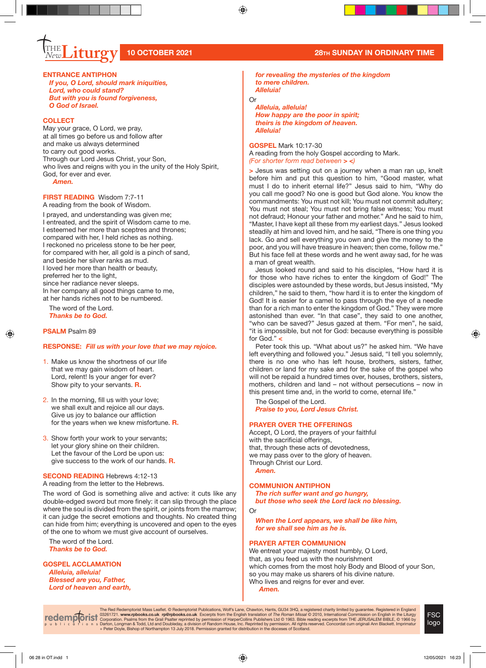## **Liturgy** 10 OCTOBER 2021 28TH SUNDAY IN ORDINARY TIME *New*

#### **ENTRANCE ANTIPHON**

*If you, O Lord, should mark iniquities, Lord, who could stand? But with you is found forgiveness, O God of Israel.* 

#### **COLLECT**

May your grace, O Lord, we pray, at all times go before us and follow after and make us always determined to carry out good works. Through our Lord Jesus Christ, your Son, who lives and reigns with you in the unity of the Holy Spirit, God, for ever and ever.  *Amen.*

#### **FIRST READING** Wisdom 7:7-11

A reading from the book of Wisdom.

I prayed, and understanding was given me; I entreated, and the spirit of Wisdom came to me. I esteemed her more than sceptres and thrones; compared with her, I held riches as nothing. I reckoned no priceless stone to be her peer, for compared with her, all gold is a pinch of sand, and beside her silver ranks as mud. I loved her more than health or beauty, preferred her to the light, since her radiance never sleeps. In her company all good things came to me, at her hands riches not to be numbered.

The word of the Lord. *Thanks be to God.*

#### **PSALM** Psalm 89

#### **RESPONSE:** *Fill us with your love that we may rejoice.*

- 1. Make us know the shortness of our life that we may gain wisdom of heart. Lord, relent! Is your anger for ever? Show pity to your servants. **R.**
- 2. In the morning, fill us with your love; we shall exult and rejoice all our days. Give us joy to balance our affliction for the years when we knew misfortune. **R.**
- 3. Show forth your work to your servants; let your glory shine on their children. Let the favour of the Lord be upon us: give success to the work of our hands. **R.**

#### **SECOND READING** Hebrews 4:12-13

A reading from the letter to the Hebrews.

The word of God is something alive and active: it cuts like any double-edged sword but more finely: it can slip through the place where the soul is divided from the spirit, or joints from the marrow; it can judge the secret emotions and thoughts. No created thing can hide from him; everything is uncovered and open to the eyes of the one to whom we must give account of ourselves.

The word of the Lord. *Thanks be to God.*

#### **GOSPEL ACCLAMATION** *Alleluia, alleluia! Blessed are you, Father, Lord of heaven and earth,*

#### *for revealing the mysteries of the kingdom to mere children. Alleluia!*

Or

*Alleluia, alleluia! How happy are the poor in spirit; theirs is the kingdom of heaven. Alleluia!* 

**GOSPEL** Mark 10:17-30 A reading from the holy Gospel according to Mark. *(For shorter form read between > <)*

**>** Jesus was setting out on a journey when a man ran up, knelt before him and put this question to him, "Good master, what must I do to inherit eternal life?" Jesus said to him, "Why do you call me good? No one is good but God alone. You know the commandments: You must not kill; You must not commit adultery; You must not steal; You must not bring false witness; You must not defraud; Honour your father and mother." And he said to him, "Master, I have kept all these from my earliest days." Jesus looked steadily at him and loved him, and he said, "There is one thing you lack. Go and sell everything you own and give the money to the poor, and you will have treasure in heaven; then come, follow me." But his face fell at these words and he went away sad, for he was a man of great wealth.

Jesus looked round and said to his disciples, "How hard it is for those who have riches to enter the kingdom of God!" The disciples were astounded by these words, but Jesus insisted, "My children," he said to them, "how hard it is to enter the kingdom of God! It is easier for a camel to pass through the eye of a needle than for a rich man to enter the kingdom of God." They were more astonished than ever. "In that case", they said to one another, "who can be saved?" Jesus gazed at them. "For men", he said, "it is impossible, but not for God: because everything is possible for God." **<**

Peter took this up. "What about us?" he asked him. "We have left everything and followed you." Jesus said, "I tell you solemnly, there is no one who has left house, brothers, sisters, father, children or land for my sake and for the sake of the gospel who will not be repaid a hundred times over, houses, brothers, sisters, mothers, children and land – not without persecutions – now in this present time and, in the world to come, eternal life."

The Gospel of the Lord. *Praise to you, Lord Jesus Christ.*

#### **PRAYER OVER THE OFFERINGS**

Accept, O Lord, the prayers of your faithful with the sacrificial offerings, that, through these acts of devotedness, we may pass over to the glory of heaven. Through Christ our Lord. *Amen.*

#### **COMMUNION ANTIPHON**

*The rich suffer want and go hungry, but those who seek the Lord lack no blessing.* 

Or

*When the Lord appears, we shall be like him, for we shall see him as he is.* 

#### **PRAYER AFTER COMMUNION**

We entreat your majesty most humbly, O Lord, that, as you feed us with the nourishment which comes from the most holy Body and Blood of your Son, so you may make us sharers of his divine nature. Who lives and reigns for ever and ever.  *Amen.*



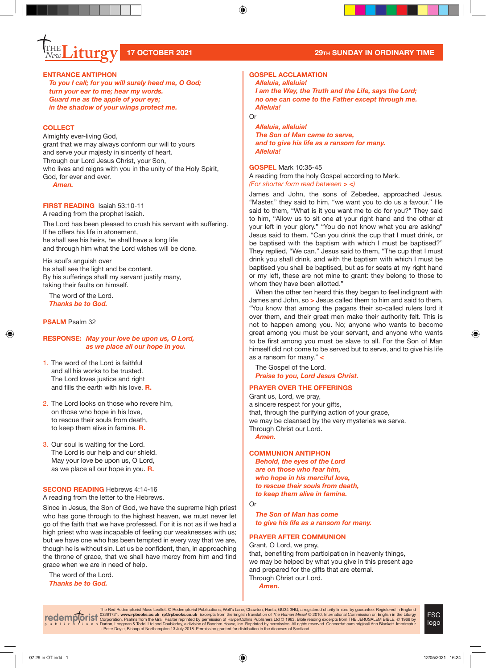#### **ENTRANCE ANTIPHON**

*To you I call; for you will surely heed me, O God; turn your ear to me; hear my words. Guard me as the apple of your eye; in the shadow of your wings protect me.* 

#### **COLLECT**

*New*

Almighty ever-living God, grant that we may always conform our will to yours and serve your majesty in sincerity of heart. Through our Lord Jesus Christ, your Son, who lives and reigns with you in the unity of the Holy Spirit, God, for ever and ever.  *Amen.*

#### **FIRST READING** Isaiah 53:10-11

A reading from the prophet Isaiah. The Lord has been pleased to crush his servant with suffering. If he offers his life in atonement, he shall see his heirs, he shall have a long life and through him what the Lord wishes will be done.

His soul's anguish over he shall see the light and be content. By his sufferings shall my servant justify many, taking their faults on himself.

The word of the Lord. *Thanks be to God.*

#### **PSALM** Psalm 32

#### **RESPONSE:** *May your love be upon us, O Lord, as we place all our hope in you.*

- 1. The word of the Lord is faithful and all his works to be trusted. The Lord loves justice and right and fills the earth with his love. **R.**
- 2. The Lord looks on those who revere him. on those who hope in his love, to rescue their souls from death, to keep them alive in famine. **R.**
- 3. Our soul is waiting for the Lord. The Lord is our help and our shield. May your love be upon us, O Lord, as we place all our hope in you. **R.**

#### **SECOND READING** Hebrews 4:14-16 A reading from the letter to the Hebrews.

Since in Jesus, the Son of God, we have the supreme high priest who has gone through to the highest heaven, we must never let go of the faith that we have professed. For it is not as if we had a high priest who was incapable of feeling our weaknesses with us; but we have one who has been tempted in every way that we are, though he is without sin. Let us be confident, then, in approaching the throne of grace, that we shall have mercy from him and find grace when we are in need of help.

The word of the Lord. *Thanks be to God.*

#### **GOSPEL ACCLAMATION**

*Alleluia, alleluia! I am the Way, the Truth and the Life, says the Lord; no one can come to the Father except through me. Alleluia!* 

#### Or

*Alleluia, alleluia! The Son of Man came to serve, and to give his life as a ransom for many. Alleluia!* 

#### **GOSPEL** Mark 10:35-45

A reading from the holy Gospel according to Mark. *(For shorter form read between > <)*

James and John, the sons of Zebedee, approached Jesus. "Master," they said to him, "we want you to do us a favour." He said to them, "What is it you want me to do for you?" They said to him, "Allow us to sit one at your right hand and the other at your left in your glory." "You do not know what you are asking" Jesus said to them. "Can you drink the cup that I must drink, or be baptised with the baptism with which I must be baptised?" They replied, "We can." Jesus said to them, "The cup that I must drink you shall drink, and with the baptism with which I must be baptised you shall be baptised, but as for seats at my right hand or my left, these are not mine to grant: they belong to those to whom they have been allotted."

When the other ten heard this they began to feel indignant with James and John, so **>** Jesus called them to him and said to them, "You know that among the pagans their so-called rulers lord it over them, and their great men make their authority felt. This is not to happen among you. No; anyone who wants to become great among you must be your servant, and anyone who wants to be first among you must be slave to all. For the Son of Man himself did not come to be served but to serve, and to give his life as a ransom for many." **<**

The Gospel of the Lord. *Praise to you, Lord Jesus Christ.*

#### **PRAYER OVER THE OFFERINGS**

Grant us, Lord, we pray, a sincere respect for your gifts, that, through the purifying action of your grace, we may be cleansed by the very mysteries we serve. Through Christ our Lord. *Amen.*

#### **COMMUNION ANTIPHON**

*Behold, the eyes of the Lord are on those who fear him, who hope in his merciful love, to rescue their souls from death, to keep them alive in famine.* 

#### Or

*The Son of Man has come to give his life as a ransom for many.* 

#### **PRAYER AFTER COMMUNION**

Grant, O Lord, we pray, that, benefiting from participation in heavenly things, we may be helped by what you give in this present age and prepared for the gifts that are eternal. Through Christ our Lord.

 *Amen.*

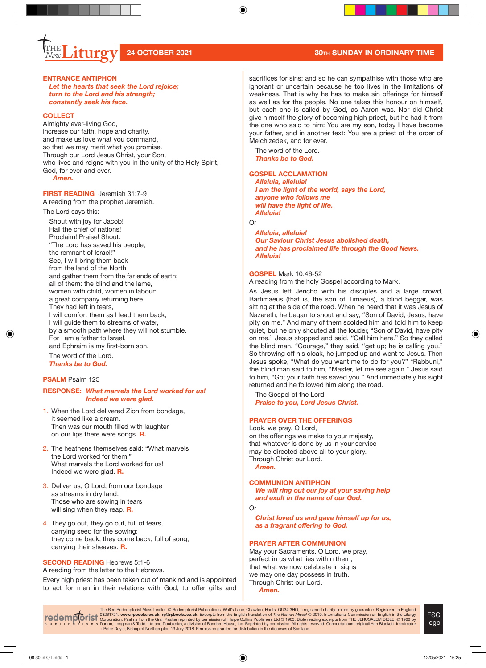#### **ENTRANCE ANTIPHON**

#### *Let the hearts that seek the Lord rejoice; turn to the Lord and his strength; constantly seek his face.*

#### **COLLECT**

Almighty ever-living God, increase our faith, hope and charity, and make us love what you command, so that we may merit what you promise. Through our Lord Jesus Christ, your Son, who lives and reigns with you in the unity of the Holy Spirit, God, for ever and ever.  *Amen.*

#### **FIRST READING** Jeremiah 31:7-9

A reading from the prophet Jeremiah.

The Lord says this:

Shout with joy for Jacob! Hail the chief of nations! Proclaim! Praise! Shout: "The Lord has saved his people, the remnant of Israel!" See, I will bring them back from the land of the North and gather them from the far ends of earth; all of them: the blind and the lame, women with child, women in labour: a great company returning here. They had left in tears, I will comfort them as I lead them back; I will guide them to streams of water, by a smooth path where they will not stumble. For I am a father to Israel, and Ephraim is my first-born son. The word of the Lord.

*Thanks be to God.*

#### **PSALM** Psalm 125

#### **RESPONSE:** *What marvels the Lord worked for us! Indeed we were glad.*

- 1. When the Lord delivered Zion from bondage, it seemed like a dream. Then was our mouth filled with laughter, on our lips there were songs. **R.**
- 2. The heathens themselves said: "What marvels the Lord worked for them!" What marvels the Lord worked for us! Indeed we were glad. **R.**
- 3. Deliver us, O Lord, from our bondage as streams in dry land. Those who are sowing in tears will sing when they reap. **R.**
- 4. They go out, they go out, full of tears, carrying seed for the sowing: they come back, they come back, full of song, carrying their sheaves. **R.**

#### **SECOND READING Hebrews 5:1-6**

A reading from the letter to the Hebrews.

Every high priest has been taken out of mankind and is appointed to act for men in their relations with God, to offer gifts and

sacrifices for sins; and so he can sympathise with those who are ignorant or uncertain because he too lives in the limitations of weakness. That is why he has to make sin offerings for himself as well as for the people. No one takes this honour on himself, but each one is called by God, as Aaron was. Nor did Christ give himself the glory of becoming high priest, but he had it from the one who said to him: You are my son, today I have become your father, and in another text: You are a priest of the order of Melchizedek, and for ever.

The word of the Lord. *Thanks be to God.*

#### **GOSPEL ACCLAMATION**

*Alleluia, alleluia! I am the light of the world, says the Lord, anyone who follows me will have the light of life. Alleluia!* 

Or

#### *Alleluia, alleluia!*

*Our Saviour Christ Jesus abolished death, and he has proclaimed life through the Good News. Alleluia!* 

#### **GOSPEL** Mark 10:46-52

A reading from the holy Gospel according to Mark.

As Jesus left Jericho with his disciples and a large crowd, Bartimaeus (that is, the son of Timaeus), a blind beggar, was sitting at the side of the road. When he heard that it was Jesus of Nazareth, he began to shout and say, "Son of David, Jesus, have pity on me." And many of them scolded him and told him to keep quiet, but he only shouted all the louder, "Son of David, have pity on me." Jesus stopped and said, "Call him here." So they called the blind man. "Courage," they said, "get up; he is calling you." So throwing off his cloak, he jumped up and went to Jesus. Then Jesus spoke, "What do you want me to do for you?" "Rabbuni," the blind man said to him, "Master, let me see again." Jesus said to him, "Go; your faith has saved you." And immediately his sight returned and he followed him along the road.

The Gospel of the Lord. *Praise to you, Lord Jesus Christ.*

#### **PRAYER OVER THE OFFERINGS**

Look, we pray, O Lord, on the offerings we make to your majesty, that whatever is done by us in your service may be directed above all to your glory. Through Christ our Lord. *Amen.*

#### **COMMUNION ANTIPHON**

*We will ring out our joy at your saving help and exult in the name of our God.* 

Or

*Christ loved us and gave himself up for us, as a fragrant offering to God.* 

#### **PRAYER AFTER COMMUNION**

May your Sacraments, O Lord, we pray, perfect in us what lies within them, that what we now celebrate in signs we may one day possess in truth. Through Christ our Lord.  *Amen.*

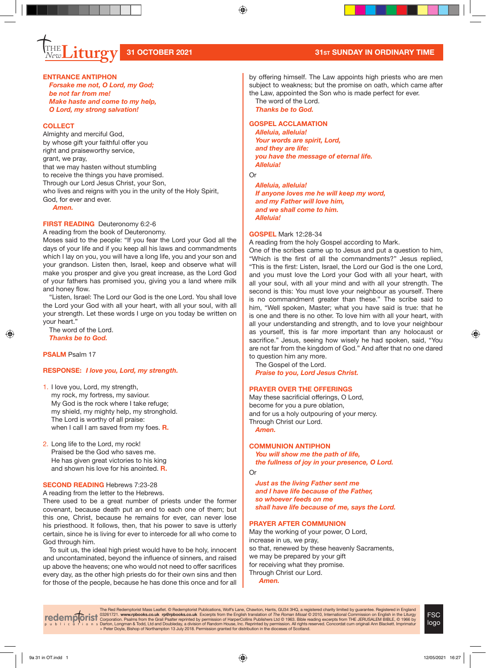## **Liturgy 31 OCTOBER 2021** 31 SUNDAY IN ORDINARY TIME *New*

#### **ENTRANCE ANTIPHON**

*Forsake me not, O Lord, my God; be not far from me! Make haste and come to my help, O Lord, my strong salvation!* 

#### **COLLECT**

Almighty and merciful God, by whose gift your faithful offer you right and praiseworthy service, grant, we pray, that we may hasten without stumbling to receive the things you have promised. Through our Lord Jesus Christ, your Son, who lives and reigns with you in the unity of the Holy Spirit, God, for ever and ever.  *Amen.*

#### **FIRST READING** Deuteronomy 6:2-6

A reading from the book of Deuteronomy.

Moses said to the people: "If you fear the Lord your God all the days of your life and if you keep all his laws and commandments which I lay on you, you will have a long life, you and your son and your grandson. Listen then, Israel, keep and observe what will make you prosper and give you great increase, as the Lord God of your fathers has promised you, giving you a land where milk and honey flow.

"Listen, Israel: The Lord our God is the one Lord. You shall love the Lord your God with all your heart, with all your soul, with all your strength. Let these words I urge on you today be written on your heart."

The word of the Lord. *Thanks be to God.*

#### **PSALM** Psalm 17

#### **RESPONSE:** *I love you, Lord, my strength.*

- 1. I love you, Lord, my strength, my rock, my fortress, my saviour. My God is the rock where I take refuge; my shield, my mighty help, my stronghold. The Lord is worthy of all praise: when I call I am saved from my foes. **R.**
- 2. Long life to the Lord, my rock! Praised be the God who saves me. He has given great victories to his king and shown his love for his anointed. **R.**

#### **SECOND READING** Hebrews 7:23-28

A reading from the letter to the Hebrews.

There used to be a great number of priests under the former covenant, because death put an end to each one of them; but this one, Christ, because he remains for ever, can never lose his priesthood. It follows, then, that his power to save is utterly certain, since he is living for ever to intercede for all who come to God through him.

To suit us, the ideal high priest would have to be holy, innocent and uncontaminated, beyond the influence of sinners, and raised up above the heavens; one who would not need to offer sacrifices every day, as the other high priests do for their own sins and then for those of the people, because he has done this once and for all by offering himself. The Law appoints high priests who are men subject to weakness; but the promise on oath, which came after the Law, appointed the Son who is made perfect for ever.

The word of the Lord. *Thanks be to God.*

#### **GOSPEL ACCLAMATION**

*Alleluia, alleluia! Your words are spirit, Lord, and they are life: you have the message of eternal life. Alleluia!* 

Or

*Alleluia, alleluia! If anyone loves me he will keep my word, and my Father will love him, and we shall come to him. Alleluia!* 

#### **GOSPEL** Mark 12:28-34

A reading from the holy Gospel according to Mark.

One of the scribes came up to Jesus and put a question to him, "Which is the first of all the commandments?" Jesus replied, "This is the first: Listen, Israel, the Lord our God is the one Lord, and you must love the Lord your God with all your heart, with all your soul, with all your mind and with all your strength. The second is this: You must love your neighbour as yourself. There is no commandment greater than these." The scribe said to him, "Well spoken, Master; what you have said is true: that he is one and there is no other. To love him with all your heart, with all your understanding and strength, and to love your neighbour as yourself, this is far more important than any holocaust or sacrifice." Jesus, seeing how wisely he had spoken, said, "You are not far from the kingdom of God." And after that no one dared to question him any more.

The Gospel of the Lord. *Praise to you, Lord Jesus Christ.*

#### **PRAYER OVER THE OFFERINGS**

May these sacrificial offerings, O Lord, become for you a pure oblation, and for us a holy outpouring of your mercy. Through Christ our Lord. *Amen.*

#### **COMMUNION ANTIPHON**

*You will show me the path of life, the fullness of joy in your presence, O Lord.* 

#### Or

*Just as the living Father sent me and I have life because of the Father, so whoever feeds on me shall have life because of me, says the Lord.* 

#### **PRAYER AFTER COMMUNION**

May the working of your power, O Lord, increase in us, we pray, so that, renewed by these heavenly Sacraments, we may be prepared by your gift for receiving what they promise. Through Christ our Lord.

 *Amen.*